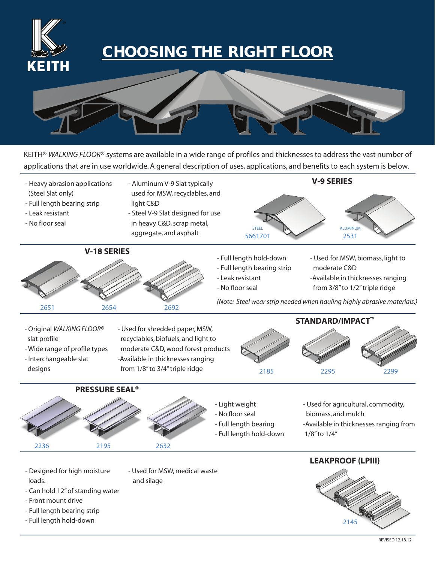

## **CHOOSING THE RIGHT FLOOR**



KEITH® *WALKING FLOOR*® systems are available in a wide range of profiles and thicknesses to address the vast number of applications that are in use worldwide. A general description of uses, applications, and benefits to each system is below.

- Full length hold-down - Full length bearing strip - Leak resistant - No floor seal - Used for MSW, biomass, light to moderate C&D -Available in thicknesses ranging from 3/8" to 1/2" triple ridge **PRESSURE SEAL® V-18 SERIES** - Original *WALKING FLOOR***®**  slat profile - Wide range of profile types - Interchangeable slat designs - Used for shredded paper, MSW, recyclables, biofuels, and light to moderate C&D, wood forest products -Available in thicknesses ranging from 1/8" to 3/4" triple ridge **STANDARD/IMPACT™** - Heavy abrasion applications (Steel Slat only) - Full length bearing strip - Leak resistant - No floor seal - Aluminum V-9 Slat typically used for MSW, recyclables, and light C&D - Steel V-9 Slat designed for use in heavy C&D, scrap metal, aggregate, and asphalt **V-9 SERIES** ALUMINUM 2531 STEEL 5661701 2651 2185 2295 2299 2654 2692 *(Note: Steel wear strip needed when hauling highly abrasive materials.)*



- Light weight - No floor seal
- Full length bearing
- Full length hold-down
- Used for agricultural, commodity, biomass, and mulch -Available in thicknesses ranging from
- 1/8" to 1/4"

- Designed for high moisture loads.
- Used for MSW, medical waste and silage



- 
- Can hold 12" of standing water
- Front mount drive
- Full length bearing strip
- Full length hold-down